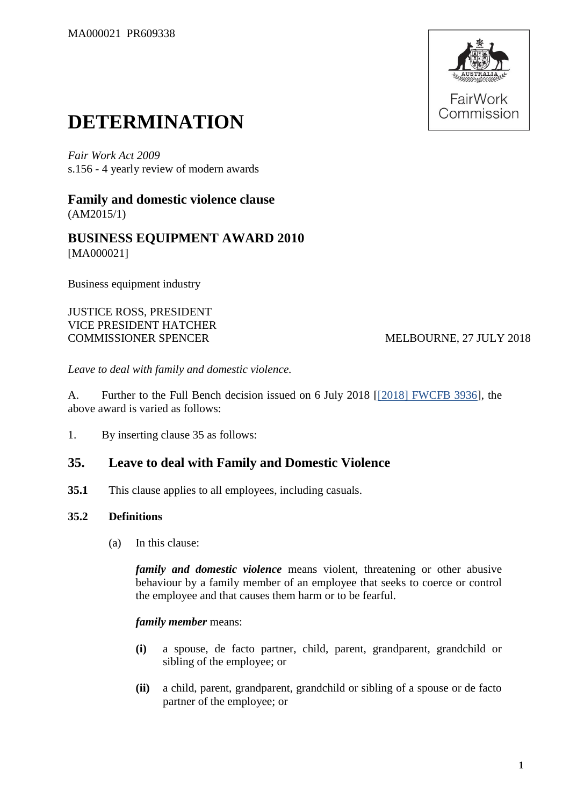

# **DETERMINATION**

*Fair Work Act 2009*  s.156 - 4 yearly review of modern awards

**Family and domestic violence clause** (AM2015/1)

**BUSINESS EQUIPMENT AWARD 2010** [MA000021]

Business equipment industry

JUSTICE ROSS, PRESIDENT VICE PRESIDENT HATCHER COMMISSIONER SPENCER MELBOURNE, 27 JULY 2018

*Leave to deal with family and domestic violence.*

A. Further to the Full Bench decision issued on 6 July 2018 [\[\[2018\] FWCFB 3936\]](https://www.fwc.gov.au/documents/decisionssigned/html/2018fwcfb3936.htm), the above award is varied as follows:

1. By inserting clause 35 as follows:

## **35. Leave to deal with Family and Domestic Violence**

**35.1** This clause applies to all employees, including casuals.

## **35.2 Definitions**

(a) In this clause:

*family and domestic violence* means violent, threatening or other abusive behaviour by a family member of an employee that seeks to coerce or control the employee and that causes them harm or to be fearful.

#### *family member* means:

- **(i)** a spouse, de facto partner, child, parent, grandparent, grandchild or sibling of the employee; or
- **(ii)** a child, parent, grandparent, grandchild or sibling of a spouse or de facto partner of the employee; or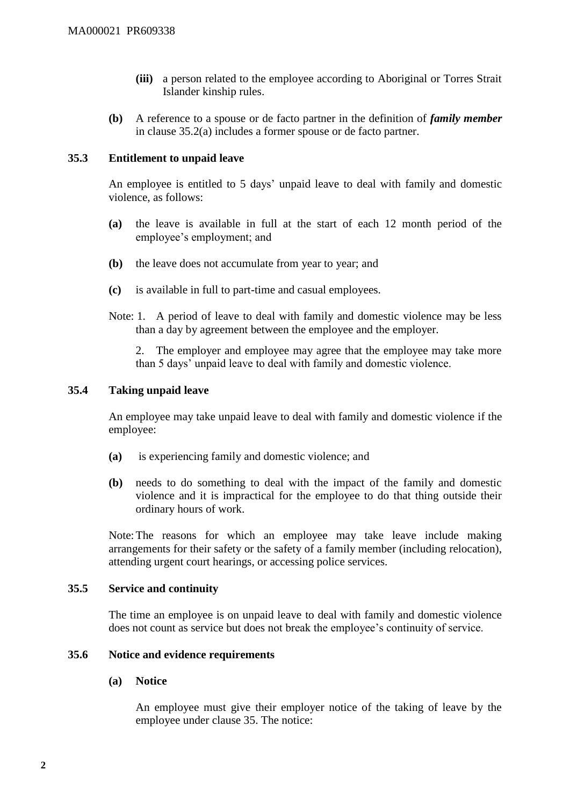- **(iii)** a person related to the employee according to Aboriginal or Torres Strait Islander kinship rules.
- **(b)** A reference to a spouse or de facto partner in the definition of *family member* in clause 35.2(a) includes a former spouse or de facto partner.

#### **35.3 Entitlement to unpaid leave**

An employee is entitled to 5 days' unpaid leave to deal with family and domestic violence, as follows:

- **(a)** the leave is available in full at the start of each 12 month period of the employee's employment; and
- **(b)** the leave does not accumulate from year to year; and
- **(c)** is available in full to part-time and casual employees.
- Note: 1. A period of leave to deal with family and domestic violence may be less than a day by agreement between the employee and the employer.

2. The employer and employee may agree that the employee may take more than 5 days' unpaid leave to deal with family and domestic violence.

## **35.4 Taking unpaid leave**

An employee may take unpaid leave to deal with family and domestic violence if the employee:

- **(a)** is experiencing family and domestic violence; and
- **(b)** needs to do something to deal with the impact of the family and domestic violence and it is impractical for the employee to do that thing outside their ordinary hours of work.

Note:The reasons for which an employee may take leave include making arrangements for their safety or the safety of a family member (including relocation), attending urgent court hearings, or accessing police services.

#### **35.5 Service and continuity**

The time an employee is on unpaid leave to deal with family and domestic violence does not count as service but does not break the employee's continuity of service.

## **35.6 Notice and evidence requirements**

#### **(a) Notice**

An employee must give their employer notice of the taking of leave by the employee under clause 35. The notice: